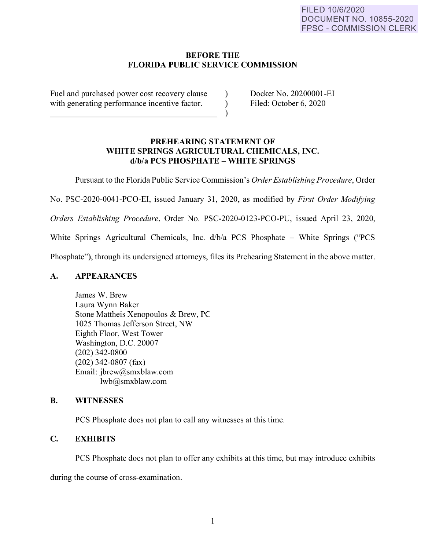# **BEFORE THE FLORIDA PUBLIC SERVICE COMMISSION**

Fuel and purchased power cost recovery clause with generating performance incentive factor.

Docket No. 20200001-EI Filed: October 6, 2020

# **PREHEARING STATEMENT OF WHITE SPRINGS AGRICULTURAL CHEMICALS, INC. d/b/a PCS PHOSPHATE** - **WHITE SPRINGS**

Pursuant to the Florida Public Service Commission's *Order Establishing Procedure,* Order

 $\lambda$ )  $\lambda$ 

No. PSC-2020-0041-PCO-EI, issued January 31, 2020, as modified by *First Order Modifying* 

*Orders Establishing Procedure,* Order No. PSC-2020-0123-PCO-PU, issued April 23, 2020,

White Springs Agricultural Chemicals, Inc.  $d/b/a$  PCS Phosphate – White Springs ("PCS

Phosphate"), through its undersigned attorneys, files its Prehearing Statement in the above matter.

# **A. APPEARANCES**

James W. Brew Laura Wynn Baker Stone Mattheis Xenopoulos & Brew, PC I 025 Thomas Jefferson Street, NW Eighth Floor, West Tower Washington, D.C. 20007 (202) 342-0800 (202) 342-0807 (fax) Email: jbrew@smxblaw.com lwb@smxb law .com

# **B. WITNESSES**

PCS Phosphate does not plan to call any witnesses at this time.

# **C. EXHIBITS**

PCS Phosphate does not plan to offer any exhibits at this time, but may introduce exhibits

during the course of cross-examination.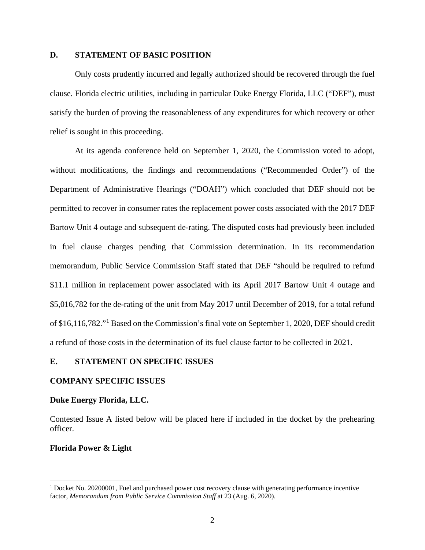#### **D. STATEMENT OF BASIC POSITION**

 Only costs prudently incurred and legally authorized should be recovered through the fuel clause. Florida electric utilities, including in particular Duke Energy Florida, LLC ("DEF"), must satisfy the burden of proving the reasonableness of any expenditures for which recovery or other relief is sought in this proceeding.

 At its agenda conference held on September 1, 2020, the Commission voted to adopt, without modifications, the findings and recommendations ("Recommended Order") of the Department of Administrative Hearings ("DOAH") which concluded that DEF should not be permitted to recover in consumer rates the replacement power costs associated with the 2017 DEF Bartow Unit 4 outage and subsequent de-rating. The disputed costs had previously been included in fuel clause charges pending that Commission determination. In its recommendation memorandum, Public Service Commission Staff stated that DEF "should be required to refund \$11.1 million in replacement power associated with its April 2017 Bartow Unit 4 outage and \$5,016,782 for the de-rating of the unit from May 2017 until December of 2019, for a total refund of \$16,116,782."[1](#page-1-0) Based on the Commission's final vote on September 1, 2020, DEF should credit a refund of those costs in the determination of its fuel clause factor to be collected in 2021.

#### **E. STATEMENT ON SPECIFIC ISSUES**

#### **COMPANY SPECIFIC ISSUES**

#### **Duke Energy Florida, LLC.**

Contested Issue A listed below will be placed here if included in the docket by the prehearing officer.

#### **Florida Power & Light**

<span id="page-1-0"></span><sup>&</sup>lt;sup>1</sup> Docket No. 20200001, Fuel and purchased power cost recovery clause with generating performance incentive factor, *Memorandum from Public Service Commission Staff* at 23 (Aug. 6, 2020).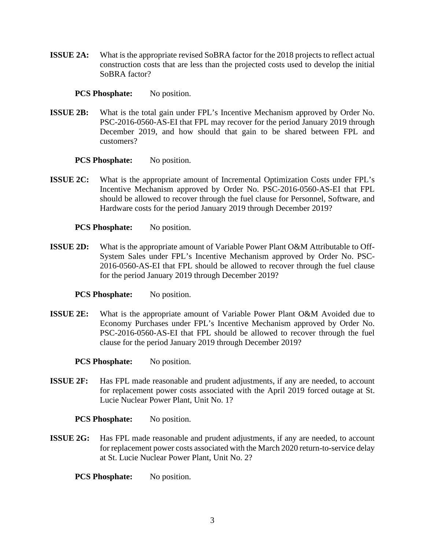**ISSUE 2A:** What is the appropriate revised SoBRA factor for the 2018 projects to reflect actual construction costs that are less than the projected costs used to develop the initial SoBRA factor?

## **PCS Phosphate:** No position.

**ISSUE 2B:** What is the total gain under FPL's Incentive Mechanism approved by Order No. PSC-2016-0560-AS-EI that FPL may recover for the period January 2019 through December 2019, and how should that gain to be shared between FPL and customers?

#### **PCS Phosphate:** No position.

**ISSUE 2C:** What is the appropriate amount of Incremental Optimization Costs under FPL's Incentive Mechanism approved by Order No. PSC-2016-0560-AS-EI that FPL should be allowed to recover through the fuel clause for Personnel, Software, and Hardware costs for the period January 2019 through December 2019?

#### **PCS Phosphate:** No position.

**ISSUE 2D:** What is the appropriate amount of Variable Power Plant O&M Attributable to Off-System Sales under FPL's Incentive Mechanism approved by Order No. PSC-2016-0560-AS-EI that FPL should be allowed to recover through the fuel clause for the period January 2019 through December 2019?

# **PCS Phosphate:** No position.

**ISSUE 2E:** What is the appropriate amount of Variable Power Plant O&M Avoided due to Economy Purchases under FPL's Incentive Mechanism approved by Order No. PSC-2016-0560-AS-EI that FPL should be allowed to recover through the fuel clause for the period January 2019 through December 2019?

#### **PCS Phosphate:** No position.

**ISSUE 2F:** Has FPL made reasonable and prudent adjustments, if any are needed, to account for replacement power costs associated with the April 2019 forced outage at St. Lucie Nuclear Power Plant, Unit No. 1?

#### **PCS Phosphate:** No position.

**ISSUE 2G:** Has FPL made reasonable and prudent adjustments, if any are needed, to account for replacement power costs associated with the March 2020 return-to-service delay at St. Lucie Nuclear Power Plant, Unit No. 2?

**PCS Phosphate:** No position.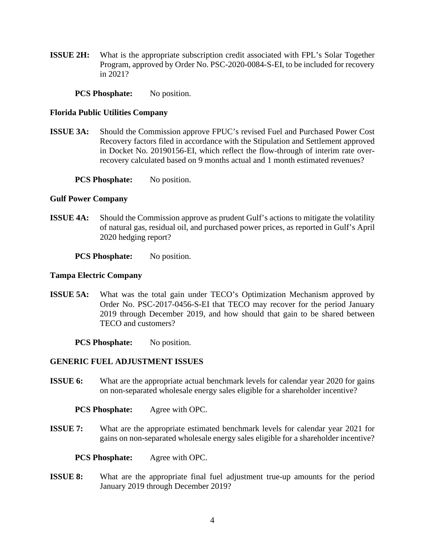**ISSUE 2H:** What is the appropriate subscription credit associated with FPL's Solar Together Program, approved by Order No. PSC-2020-0084-S-EI, to be included for recovery in 2021?

**PCS Phosphate:** No position.

#### **Florida Public Utilities Company**

**ISSUE 3A:** Should the Commission approve FPUC's revised Fuel and Purchased Power Cost Recovery factors filed in accordance with the Stipulation and Settlement approved in Docket No. 20190156-EI, which reflect the flow-through of interim rate overrecovery calculated based on 9 months actual and 1 month estimated revenues?

**PCS Phosphate:** No position.

## **Gulf Power Company**

**ISSUE 4A:** Should the Commission approve as prudent Gulf's actions to mitigate the volatility of natural gas, residual oil, and purchased power prices, as reported in Gulf's April 2020 hedging report?

**PCS Phosphate:** No position.

#### **Tampa Electric Company**

**ISSUE 5A:** What was the total gain under TECO's Optimization Mechanism approved by Order No. PSC-2017-0456-S-EI that TECO may recover for the period January 2019 through December 2019, and how should that gain to be shared between TECO and customers?

**PCS Phosphate:** No position.

# **GENERIC FUEL ADJUSTMENT ISSUES**

**ISSUE 6:** What are the appropriate actual benchmark levels for calendar year 2020 for gains on non-separated wholesale energy sales eligible for a shareholder incentive?

**PCS Phosphate:** Agree with OPC.

**ISSUE 7:** What are the appropriate estimated benchmark levels for calendar year 2021 for gains on non-separated wholesale energy sales eligible for a shareholder incentive?

**PCS Phosphate:** Agree with OPC.

**ISSUE 8:** What are the appropriate final fuel adjustment true-up amounts for the period January 2019 through December 2019?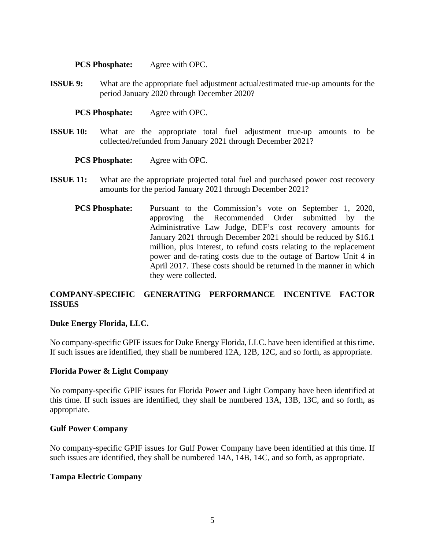**PCS Phosphate:** Agree with OPC.

**ISSUE 9:** What are the appropriate fuel adjustment actual/estimated true-up amounts for the period January 2020 through December 2020?

**PCS Phosphate:** Agree with OPC.

**ISSUE 10:** What are the appropriate total fuel adjustment true-up amounts to be collected/refunded from January 2021 through December 2021?

**PCS Phosphate:** Agree with OPC.

- **ISSUE 11:** What are the appropriate projected total fuel and purchased power cost recovery amounts for the period January 2021 through December 2021?
	- **PCS Phosphate:** Pursuant to the Commission's vote on September 1, 2020, approving the Recommended Order submitted by the Administrative Law Judge, DEF's cost recovery amounts for January 2021 through December 2021 should be reduced by \$16.1 million, plus interest, to refund costs relating to the replacement power and de-rating costs due to the outage of Bartow Unit 4 in April 2017. These costs should be returned in the manner in which they were collected.

# **COMPANY-SPECIFIC GENERATING PERFORMANCE INCENTIVE FACTOR ISSUES**

# **Duke Energy Florida, LLC.**

No company-specific GPIF issues for Duke Energy Florida, LLC. have been identified at this time. If such issues are identified, they shall be numbered 12A, 12B, 12C, and so forth, as appropriate.

# **Florida Power & Light Company**

No company-specific GPIF issues for Florida Power and Light Company have been identified at this time. If such issues are identified, they shall be numbered 13A, 13B, 13C, and so forth, as appropriate.

# **Gulf Power Company**

No company-specific GPIF issues for Gulf Power Company have been identified at this time. If such issues are identified, they shall be numbered 14A, 14B, 14C, and so forth, as appropriate.

# **Tampa Electric Company**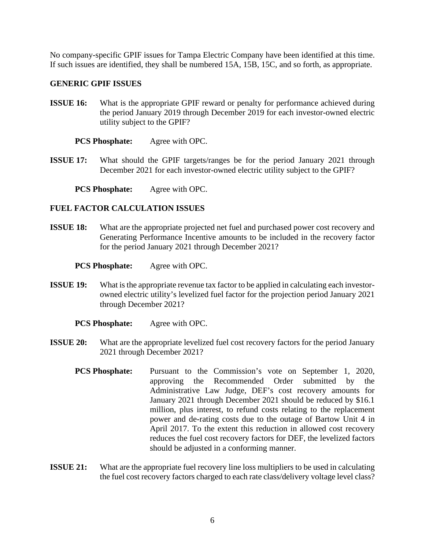No company-specific GPIF issues for Tampa Electric Company have been identified at this time. If such issues are identified, they shall be numbered 15A, 15B, 15C, and so forth, as appropriate.

#### **GENERIC GPIF ISSUES**

**ISSUE 16:** What is the appropriate GPIF reward or penalty for performance achieved during the period January 2019 through December 2019 for each investor-owned electric utility subject to the GPIF?

**PCS Phosphate:** Agree with OPC.

**ISSUE 17:** What should the GPIF targets/ranges be for the period January 2021 through December 2021 for each investor-owned electric utility subject to the GPIF?

**PCS Phosphate:** Agree with OPC.

#### **FUEL FACTOR CALCULATION ISSUES**

**ISSUE 18:** What are the appropriate projected net fuel and purchased power cost recovery and Generating Performance Incentive amounts to be included in the recovery factor for the period January 2021 through December 2021?

**PCS Phosphate:** Agree with OPC.

**ISSUE 19:** What is the appropriate revenue tax factor to be applied in calculating each investorowned electric utility's levelized fuel factor for the projection period January 2021 through December 2021?

**PCS Phosphate:** Agree with OPC.

- **ISSUE 20:** What are the appropriate levelized fuel cost recovery factors for the period January 2021 through December 2021?
	- **PCS Phosphate:** Pursuant to the Commission's vote on September 1, 2020, approving the Recommended Order submitted by the Administrative Law Judge, DEF's cost recovery amounts for January 2021 through December 2021 should be reduced by \$16.1 million, plus interest, to refund costs relating to the replacement power and de-rating costs due to the outage of Bartow Unit 4 in April 2017. To the extent this reduction in allowed cost recovery reduces the fuel cost recovery factors for DEF, the levelized factors should be adjusted in a conforming manner.
- **ISSUE 21:** What are the appropriate fuel recovery line loss multipliers to be used in calculating the fuel cost recovery factors charged to each rate class/delivery voltage level class?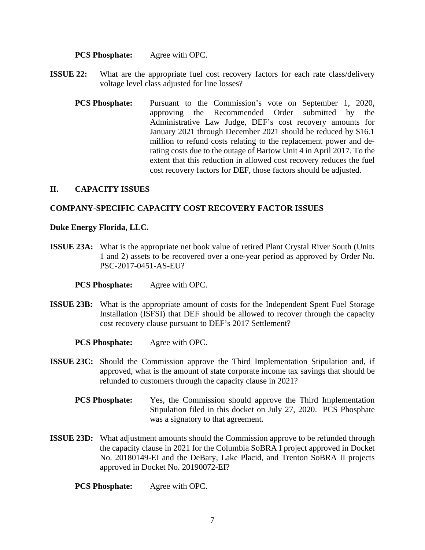#### **PCS Phosphate:** Agree with OPC.

- **ISSUE 22:** What are the appropriate fuel cost recovery factors for each rate class/delivery voltage level class adjusted for line losses?
	- **PCS Phosphate:** Pursuant to the Commission's vote on September 1, 2020, approving the Recommended Order submitted by the Administrative Law Judge, DEF's cost recovery amounts for January 2021 through December 2021 should be reduced by \$16.1 million to refund costs relating to the replacement power and derating costs due to the outage of Bartow Unit 4 in April 2017. To the extent that this reduction in allowed cost recovery reduces the fuel cost recovery factors for DEF, those factors should be adjusted.

#### **II. CAPACITY ISSUES**

# **COMPANY-SPECIFIC CAPACITY COST RECOVERY FACTOR ISSUES**

#### **Duke Energy Florida, LLC.**

- **ISSUE 23A:** What is the appropriate net book value of retired Plant Crystal River South (Units 1 and 2) assets to be recovered over a one-year period as approved by Order No. PSC-2017-0451-AS-EU?
	- **PCS Phosphate:** Agree with OPC.
- **ISSUE 23B:** What is the appropriate amount of costs for the Independent Spent Fuel Storage Installation (ISFSI) that DEF should be allowed to recover through the capacity cost recovery clause pursuant to DEF's 2017 Settlement?
	- **PCS Phosphate:** Agree with OPC.
- **ISSUE 23C:** Should the Commission approve the Third Implementation Stipulation and, if approved, what is the amount of state corporate income tax savings that should be refunded to customers through the capacity clause in 2021?
	- **PCS Phosphate:** Yes, the Commission should approve the Third Implementation Stipulation filed in this docket on July 27, 2020. PCS Phosphate was a signatory to that agreement.
- **ISSUE 23D:** What adjustment amounts should the Commission approve to be refunded through the capacity clause in 2021 for the Columbia SoBRA I project approved in Docket No. 20180149-EI and the DeBary, Lake Placid, and Trenton SoBRA II projects approved in Docket No. 20190072-EI?

**PCS Phosphate:** Agree with OPC.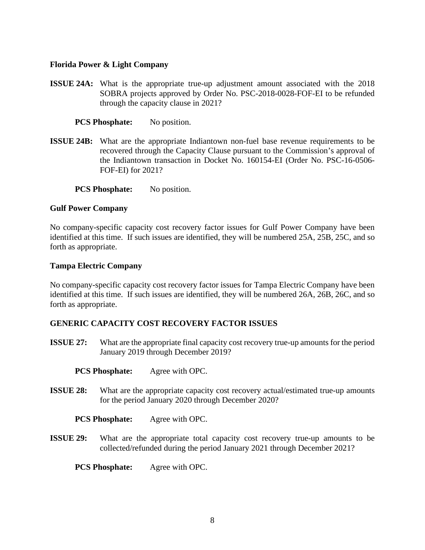# **Florida Power & Light Company**

**ISSUE 24A:** What is the appropriate true-up adjustment amount associated with the 2018 SOBRA projects approved by Order No. PSC-2018-0028-FOF-EI to be refunded through the capacity clause in 2021?

# **PCS Phosphate:** No position.

- **ISSUE 24B:** What are the appropriate Indiantown non-fuel base revenue requirements to be recovered through the Capacity Clause pursuant to the Commission's approval of the Indiantown transaction in Docket No. 160154-EI (Order No. PSC-16-0506- FOF-EI) for 2021?
	- **PCS Phosphate:** No position.

# **Gulf Power Company**

No company-specific capacity cost recovery factor issues for Gulf Power Company have been identified at this time. If such issues are identified, they will be numbered 25A, 25B, 25C, and so forth as appropriate.

# **Tampa Electric Company**

No company-specific capacity cost recovery factor issues for Tampa Electric Company have been identified at this time. If such issues are identified, they will be numbered 26A, 26B, 26C, and so forth as appropriate.

# **GENERIC CAPACITY COST RECOVERY FACTOR ISSUES**

- **ISSUE 27:** What are the appropriate final capacity cost recovery true-up amounts for the period January 2019 through December 2019?
	- **PCS Phosphate:** Agree with OPC.
- **ISSUE 28:** What are the appropriate capacity cost recovery actual/estimated true-up amounts for the period January 2020 through December 2020?

**PCS Phosphate:** Agree with OPC.

**ISSUE 29:** What are the appropriate total capacity cost recovery true-up amounts to be collected/refunded during the period January 2021 through December 2021?

**PCS Phosphate:** Agree with OPC.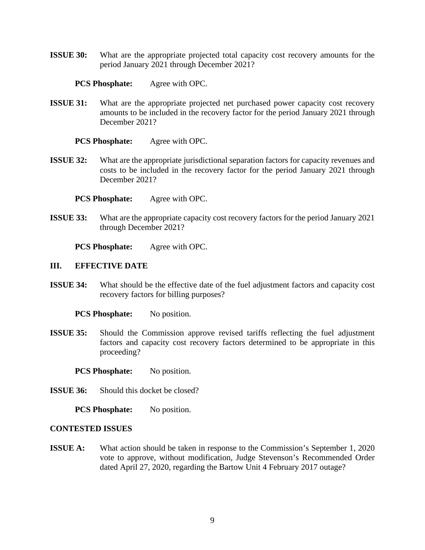**ISSUE 30:** What are the appropriate projected total capacity cost recovery amounts for the period January 2021 through December 2021?

## **PCS Phosphate:** Agree with OPC.

**ISSUE 31:** What are the appropriate projected net purchased power capacity cost recovery amounts to be included in the recovery factor for the period January 2021 through December 2021?

#### **PCS Phosphate:** Agree with OPC.

**ISSUE 32:** What are the appropriate jurisdictional separation factors for capacity revenues and costs to be included in the recovery factor for the period January 2021 through December 2021?

**PCS Phosphate:** Agree with OPC.

**ISSUE 33:** What are the appropriate capacity cost recovery factors for the period January 2021 through December 2021?

**PCS Phosphate:** Agree with OPC.

## **III. EFFECTIVE DATE**

**ISSUE 34:** What should be the effective date of the fuel adjustment factors and capacity cost recovery factors for billing purposes?

**PCS Phosphate:** No position.

**ISSUE 35:** Should the Commission approve revised tariffs reflecting the fuel adjustment factors and capacity cost recovery factors determined to be appropriate in this proceeding?

**PCS Phosphate:** No position.

**ISSUE 36:** Should this docket be closed?

**PCS Phosphate:** No position.

## **CONTESTED ISSUES**

**ISSUE A:** What action should be taken in response to the Commission's September 1, 2020 vote to approve, without modification, Judge Stevenson's Recommended Order dated April 27, 2020, regarding the Bartow Unit 4 February 2017 outage?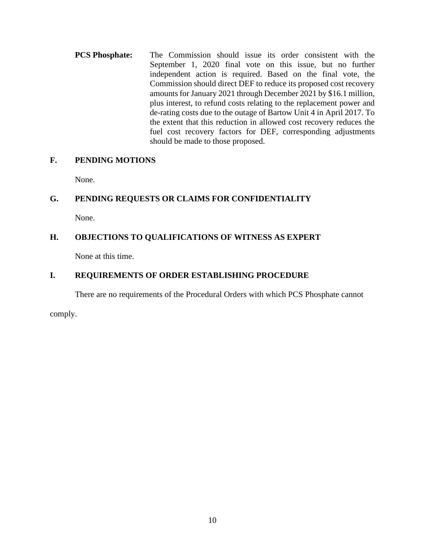**PCS Phosphate:** The Commission should issue its order consistent with the September 1, 2020 final vote on this issue, but no further independent action is required. Based on the final vote, the Commission should direct DEF to reduce its proposed cost recovery amounts for January 2021 through December 2021 by \$16.1 million, plus interest, to refund costs relating to the replacement power and de-rating costs due to the outage of Bartow Unit 4 in April 2017. To the extent that this reduction in allowed cost recovery reduces the fuel cost recovery factors for DEF, corresponding adjustments should be made to those proposed.

# **F. PENDING MOTIONS**

None.

# **G. PENDING REQUESTS OR CLAIMS FOR CONFIDENTIALITY**

None.

# **H. OBJECTIONS TO QUALIFICATIONS OF WITNESS AS EXPERT**

None at this time.

# **I. REQUIREMENTS OF ORDER ESTABLISHING PROCEDURE**

There are no requirements of the Procedural Orders with which PCS Phosphate cannot

comply.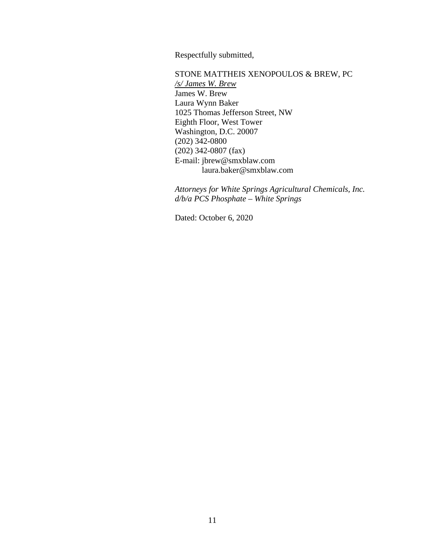Respectfully submitted,

STONE MATTHEIS XENOPOULOS & BREW, PC */s/ James W. Brew* James W. Brew Laura Wynn Baker 1025 Thomas Jefferson Street, NW Eighth Floor, West Tower Washington, D.C. 20007 (202) 342-0800 (202) 342-0807 (fax) E-mail: jbrew@smxblaw.com laura.baker@smxblaw.com

*Attorneys for White Springs Agricultural Chemicals, Inc. d/b/a PCS Phosphate – White Springs* 

Dated: October 6, 2020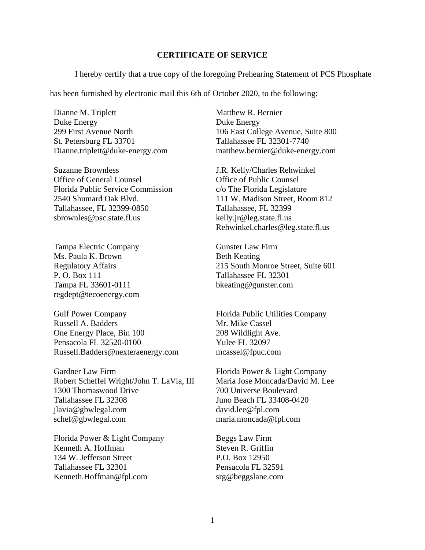#### **CERTIFICATE OF SERVICE**

I hereby certify that a true copy of the foregoing Prehearing Statement of PCS Phosphate

has been furnished by electronic mail this 6th of October 2020, to the following:

Dianne M. Triplett Duke Energy 299 First Avenue North St. Petersburg FL 33701 Dianne.triplett@duke-energy.com

Suzanne Brownless Office of General Counsel Florida Public Service Commission 2540 Shumard Oak Blvd. Tallahassee, FL 32399-0850 sbrownles@psc.state.fl.us

Tampa Electric Company Ms. Paula K. Brown Regulatory Affairs P. O. Box 111 Tampa FL 33601-0111 regdept@tecoenergy.com

Gulf Power Company Russell A. Badders One Energy Place, Bin 100 Pensacola FL 32520-0100 Russell.Badders@nexteraenergy.com

Gardner Law Firm Robert Scheffel Wright/John T. LaVia, III 1300 Thomaswood Drive Tallahassee FL 32308 jlavia@gbwlegal.com schef@gbwlegal.com

Florida Power & Light Company Kenneth A. Hoffman 134 W. Jefferson Street Tallahassee FL 32301 Kenneth.Hoffman@fpl.com

Matthew R. Bernier Duke Energy 106 East College Avenue, Suite 800 Tallahassee FL 32301-7740 matthew.bernier@duke-energy.com

J.R. Kelly/Charles Rehwinkel Office of Public Counsel c/o The Florida Legislature 111 W. Madison Street, Room 812 Tallahassee, FL 32399 kelly.jr@leg.state.fl.us Rehwinkel.charles@leg.state.fl.us

Gunster Law Firm Beth Keating 215 South Monroe Street, Suite 601 Tallahassee FL 32301 bkeating@gunster.com

Florida Public Utilities Company Mr. Mike Cassel 208 Wildlight Ave. Yulee FL 32097 mcassel@fpuc.com

Florida Power & Light Company Maria Jose Moncada/David M. Lee 700 Universe Boulevard Juno Beach FL 33408-0420 david.lee@fpl.com maria.moncada@fpl.com

Beggs Law Firm Steven R. Griffin P.O. Box 12950 Pensacola FL 32591 srg@beggslane.com